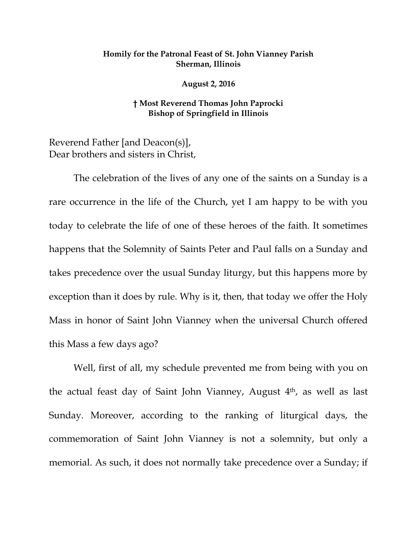## **Homily for the Patronal Feast of St. John Vianney Parish Sherman, Illinois**

**August 2, 2016**

## **† Most Reverend Thomas John Paprocki Bishop of Springfield in Illinois**

Reverend Father [and Deacon(s)], Dear brothers and sisters in Christ,

The celebration of the lives of any one of the saints on a Sunday is a rare occurrence in the life of the Church, yet I am happy to be with you today to celebrate the life of one of these heroes of the faith. It sometimes happens that the Solemnity of Saints Peter and Paul falls on a Sunday and takes precedence over the usual Sunday liturgy, but this happens more by exception than it does by rule. Why is it, then, that today we offer the Holy Mass in honor of Saint John Vianney when the universal Church offered this Mass a few days ago?

Well, first of all, my schedule prevented me from being with you on the actual feast day of Saint John Vianney, August 4th, as well as last Sunday. Moreover, according to the ranking of liturgical days, the commemoration of Saint John Vianney is not a solemnity, but only a memorial. As such, it does not normally take precedence over a Sunday; if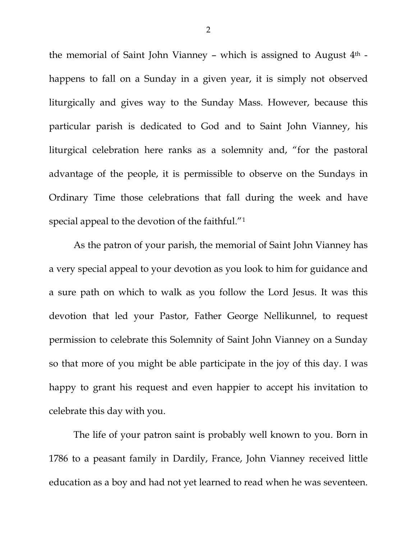the memorial of Saint John Vianney - which is assigned to August  $4<sup>th</sup>$  happens to fall on a Sunday in a given year, it is simply not observed liturgically and gives way to the Sunday Mass. However, because this particular parish is dedicated to God and to Saint John Vianney, his liturgical celebration here ranks as a solemnity and, "for the pastoral advantage of the people, it is permissible to observe on the Sundays in Ordinary Time those celebrations that fall during the week and have special appeal to the devotion of the faithful."[1](#page-1-0)

As the patron of your parish, the memorial of Saint John Vianney has a very special appeal to your devotion as you look to him for guidance and a sure path on which to walk as you follow the Lord Jesus. It was this devotion that led your Pastor, Father George Nellikunnel, to request permission to celebrate this Solemnity of Saint John Vianney on a Sunday so that more of you might be able participate in the joy of this day. I was happy to grant his request and even happier to accept his invitation to celebrate this day with you.

<span id="page-1-2"></span><span id="page-1-1"></span><span id="page-1-0"></span>The life of your patron saint is probably well known to you. Born in 1786 to a peasant family in Dardily, France, John Vianney received little education as a boy and had not yet learned to read when he was seventeen.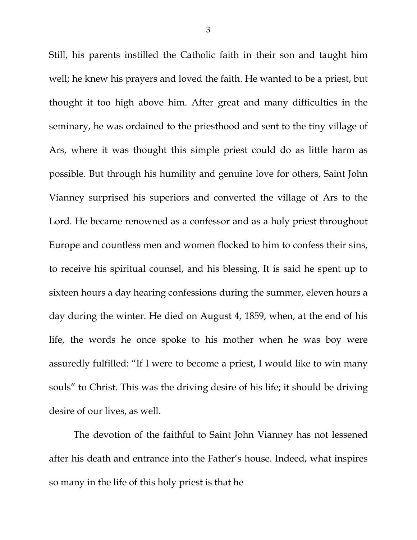Still, his parents instilled the Catholic faith in their son and taught him well; he knew his prayers and loved the faith. He wanted to be a priest, but thought it too high above him. After great and many difficulties in the seminary, he was ordained to the priesthood and sent to the tiny village of Ars, where it was thought this simple priest could do as little harm as possible. But through his humility and genuine love for others, Saint John Vianney surprised his superiors and converted the village of Ars to the Lord. He became renowned as a confessor and as a holy priest throughout Europe and countless men and women flocked to him to confess their sins, to receive his spiritual counsel, and his blessing. It is said he spent up to sixteen hours a day hearing confessions during the summer, eleven hours a day during the winter. He died on August 4, 1859, when, at the end of his life, the words he once spoke to his mother when he was boy were assuredly fulfilled: "If I were to become a priest, I would like to win many souls" to Christ. This was the driving desire of his life; it should be driving desire of our lives, as well.

The devotion of the faithful to Saint John Vianney has not lessened after his death and entrance into the Father's house. Indeed, what inspires so many in the life of this holy priest is that he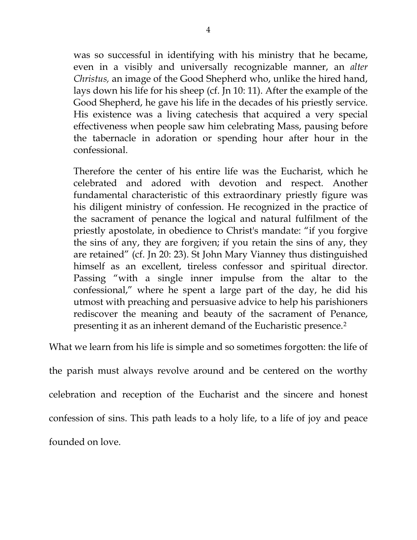was so successful in identifying with his ministry that he became, even in a visibly and universally recognizable manner, an *alter Christus,* an image of the Good Shepherd who, unlike the hired hand, lays down his life for his sheep (cf. Jn 10: 11). After the example of the Good Shepherd, he gave his life in the decades of his priestly service. His existence was a living catechesis that acquired a very special effectiveness when people saw him celebrating Mass, pausing before the tabernacle in adoration or spending hour after hour in the confessional.

Therefore the center of his entire life was the Eucharist, which he celebrated and adored with devotion and respect. Another fundamental characteristic of this extraordinary priestly figure was his diligent ministry of confession. He recognized in the practice of the sacrament of penance the logical and natural fulfilment of the priestly apostolate, in obedience to Christ's mandate: "if you forgive the sins of any, they are forgiven; if you retain the sins of any, they are retained" (cf. Jn 20: 23). St John Mary Vianney thus distinguished himself as an excellent, tireless confessor and spiritual director. Passing "with a single inner impulse from the altar to the confessional," where he spent a large part of the day, he did his utmost with preaching and persuasive advice to help his parishioners rediscover the meaning and beauty of the sacrament of Penance, presenting it as an inherent demand of the Eucharistic presence[.2](#page-1-1)

What we learn from his life is simple and so sometimes forgotten: the life of

the parish must always revolve around and be centered on the worthy celebration and reception of the Eucharist and the sincere and honest confession of sins. This path leads to a holy life, to a life of joy and peace founded on love.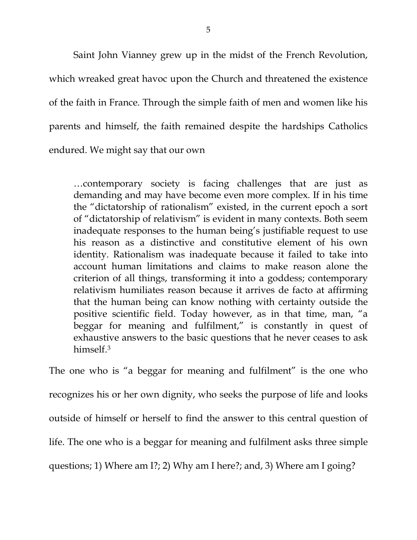Saint John Vianney grew up in the midst of the French Revolution, which wreaked great havoc upon the Church and threatened the existence of the faith in France. Through the simple faith of men and women like his parents and himself, the faith remained despite the hardships Catholics endured. We might say that our own

…contemporary society is facing challenges that are just as demanding and may have become even more complex. If in his time the "dictatorship of rationalism" existed, in the current epoch a sort of "dictatorship of relativism" is evident in many contexts. Both seem inadequate responses to the human being's justifiable request to use his reason as a distinctive and constitutive element of his own identity. Rationalism was inadequate because it failed to take into account human limitations and claims to make reason alone the criterion of all things, transforming it into a goddess; contemporary relativism humiliates reason because it arrives de facto at affirming that the human being can know nothing with certainty outside the positive scientific field. Today however, as in that time, man, "a beggar for meaning and fulfilment," is constantly in quest of exhaustive answers to the basic questions that he never ceases to ask himself.[3](#page-1-2)

The one who is "a beggar for meaning and fulfilment" is the one who recognizes his or her own dignity, who seeks the purpose of life and looks outside of himself or herself to find the answer to this central question of life. The one who is a beggar for meaning and fulfilment asks three simple questions; 1) Where am I?; 2) Why am I here?; and, 3) Where am I going?